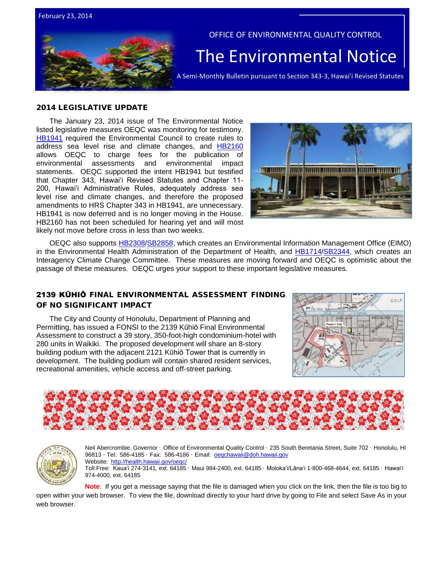



OFFICE OF ENVIRONMENTAL QUALITY CONTROL

# The Environmental Notice  $|$ <br>A Semi-Monthly Bulletin pursuant to Section 343-3, Hawai'i Revised Statutes

### 2014 LEGISLATIVE UPDATE

The January 23, 2014 issue of The Environmental Notice listed legislative measures OEQC was monitoring for testimony. [HB1941](http://www.capitol.hawaii.gov/session2014/bills/HB1941_.htm) required the Environmental Council to create rules to address sea level rise and climate changes, and [HB2160](http://www.capitol.hawaii.gov/session2014/bills/HB2160_.htm) allows OEQC to charge fees for the publication of environmental assessments and environmental impact statements. OEQC supported the intent HB1941 but testified that Chapter 343, Hawaiʻi Revised Statutes and Chapter 11- 200, Hawaiʻi Administrative Rules, adequately address sea level rise and climate changes, and therefore the proposed amendments to HRS Chapter 343 in HB1941, are unnecessary. HB1941 is now deferred and is no longer moving in the House. HB2160 has not been scheduled for hearing yet and will most likely not move before cross in less than two weeks.



OEQC also supports [HB2308/](http://www.capitol.hawaii.gov/session2014/bills/HB2308_HD1_.htm)[SB2858,](http://www.capitol.hawaii.gov/session2014/bills/SB2858_.htm) which creates an Environmental Information Management Office (EIMO) in the Environmental Health Administration of the Department of Health, and [HB1714/](http://www.capitol.hawaii.gov/session2014/bills/HB1714_HD1_.htm)[SB2344,](http://www.capitol.hawaii.gov/session2014/bills/SB2344_SD1_.htm) which creates an Interagency Climate Change Committee. These measures are moving forward and OEQC is optimistic about the passage of these measures. OEQC urges your support to these important legislative measures.

## 2139 KŪHIŌ FINAL ENVIRONMENTAL ASSESSMENT FINDING OF NO SIGNIFICANT IMPACT

The City and County of Honolulu, Department of Planning and Permitting, has issued a FONSI to the 2139 Kūhiō Final Environmental Assessment to construct a 39 story, 350-foot-high condominium-hotel with 280 units in Waikiki. The proposed development will share an 8-story building podium with the adjacent 2121 Kūhiō Tower that is currently in development. The building podium will contain shared resident services, recreational amenities, vehicle access and off-street parking.







Neil Abercrombie, Governor · Office of Environmental Quality Control · 235 South Beretania Street, Suite 702 · Honolulu, HI 96813 · Tel: 586-4185 · Fax: 586-4186 · Email: oegchawaii@doh.hawaii.gov Website: <http://health.hawaii.gov/oeqc/> Toll Free: Kauaʻi 274-3141, ext. 64185 · Maui 984-2400, ext. 64185 · Molokaʻi/Lānaʻi 1-800-468-4644, ext. 64185 · Hawaiʻi

974-4000, ext. 64185

**Note**: If you get a message saying that the file is damaged when you click on the link, then the file is too big to open within your web browser. To view the file, download directly to your hard drive by going to File and select Save As in your web browser.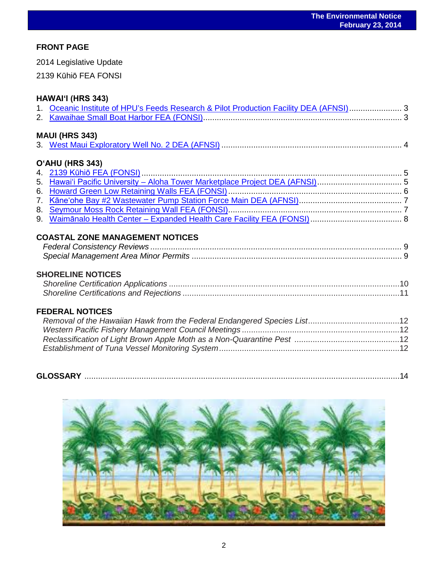## **FRONT PAGE**

2014 Legislative Update

2139 Kūhiō FEA FONSI

# **HAWAIʻI (HRS 343)**

| 1. Oceanic Institute of HPU's Feeds Research & Pilot Production Facility DEA (AFNSI) 3 |  |
|----------------------------------------------------------------------------------------|--|
|                                                                                        |  |
| <b>MAUI (HRS 343)</b>                                                                  |  |
|                                                                                        |  |
| O'AHU (HRS 343)                                                                        |  |
|                                                                                        |  |
| 5. Hawai'i Pacific University - Aloha Tower Marketplace Project DEA (AFNSI) 5          |  |
|                                                                                        |  |
|                                                                                        |  |
|                                                                                        |  |
|                                                                                        |  |
| <b>COASTAL ZONE MANAGEMENT NOTICES</b>                                                 |  |
|                                                                                        |  |
|                                                                                        |  |
| <b>SHORELINE NOTICES</b>                                                               |  |
|                                                                                        |  |
|                                                                                        |  |
|                                                                                        |  |

## **FEDERAL NOTICES**

| <b>GLOSSARY</b><br><u>International Parameter (2000) (2000) (2000) (2000) (2000) (2000) (2000) (2000) (2000) (2000) (2000) (2000) (2000) (2000) (2000) (2000) (2000) (2000) (2000) (2000) (2000) (2000) (2000) (2000) (2000) (2000) (2000) (2000) (</u> |
|---------------------------------------------------------------------------------------------------------------------------------------------------------------------------------------------------------------------------------------------------------|
|---------------------------------------------------------------------------------------------------------------------------------------------------------------------------------------------------------------------------------------------------------|

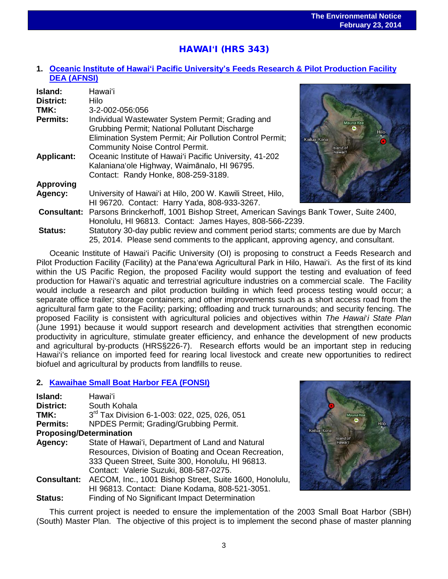# HAWAI**ʻ**I (HRS 343)

## **1. [Oceanic Institute of Hawaiʻi Pacific University's](http://oeqc.doh.hawaii.gov/Shared%20Documents/EA_and_EIS_Online_Library/Hawaii/2010s/2014-02-23-HA-5E-DEA-Oceanic-Institute-of-Hawaii-Pacific-University%27s-Feeds-Research-and-Pilot-Production-Facility.pdf) Feeds Research & Pilot Production Facility [DEA \(AFNSI\)](http://oeqc.doh.hawaii.gov/Shared%20Documents/EA_and_EIS_Online_Library/Hawaii/2010s/2014-02-23-HA-5E-DEA-Oceanic-Institute-of-Hawaii-Pacific-University%27s-Feeds-Research-and-Pilot-Production-Facility.pdf)**

| Island:<br><b>District:</b><br>TMK: | Hawai'i<br>Hilo<br>3-2-002-056:056                                                                                                                                                                      |                          |
|-------------------------------------|---------------------------------------------------------------------------------------------------------------------------------------------------------------------------------------------------------|--------------------------|
| <b>Permits:</b>                     | Individual Wastewater System Permit; Grading and<br>Grubbing Permit; National Pollutant Discharge<br>Elimination System Permit; Air Pollution Control Permit;<br><b>Community Noise Control Permit.</b> | Mauna Kea<br>Kailua-Kona |
| <b>Applicant:</b>                   | Oceanic Institute of Hawai'i Pacific University, 41-202<br>Kalaniana'ole Highway, Waimānalo, HI 96795.<br>Contact: Randy Honke, 808-259-3189.                                                           | Island of<br>Hawai'l     |
| <b>Approving</b>                    |                                                                                                                                                                                                         |                          |
| Agency:                             | University of Hawai'i at Hilo, 200 W. Kawili Street, Hilo,<br>HI 96720. Contact: Harry Yada, 808-933-3267.                                                                                              |                          |
|                                     | <b>Consultant:</b> Parsons Brinckerhoff, 1001 Bishop Street, American Savings Bank Tower, Suite 2400,<br>Honolulu, HI 96813. Contact: James Hayes, 808-566-2239.                                        |                          |
| <b>Status:</b>                      | Statutory 30-day public review and comment period starts; comments are due by March                                                                                                                     |                          |

Oceanic Institute of Hawai'i Pacific University (OI) is proposing to construct a Feeds Research and Pilot Production Facility (Facility) at the Pana'ewa Agricultural Park in Hilo, Hawai'i. As the first of its kind within the US Pacific Region, the proposed Facility would support the testing and evaluation of feed production for Hawai'i's aquatic and terrestrial agriculture industries on a commercial scale. The Facility would include a research and pilot production building in which feed process testing would occur; a separate office trailer; storage containers; and other improvements such as a short access road from the agricultural farm gate to the Facility; parking; offloading and truck turnarounds; and security fencing. The proposed Facility is consistent with agricultural policies and objectives within *The Hawai*'*i State Plan* (June 1991) because it would support research and development activities that strengthen economic productivity in agriculture, stimulate greater efficiency, and enhance the development of new products and agricultural by-products (HRS§226-7). Research efforts would be an important step in reducing Hawai'i's reliance on imported feed for rearing local livestock and create new opportunities to redirect biofuel and agricultural by products from landfills to reuse.

25, 2014. Please send comments to the applicant, approving agency, and consultant.

## **2. [Kawaihae Small Boat Harbor FEA \(FONSI\)](http://oeqc.doh.hawaii.gov/Shared%20Documents/EA_and_EIS_Online_Library/Hawaii/2010s/2014-02-23-HA-5B-FEA-Kawaihae-Small-Boat-Harbor.pdf)**

| Island:                                                                      | Hawai'i                                              |  |  |
|------------------------------------------------------------------------------|------------------------------------------------------|--|--|
| District:                                                                    | South Kohala                                         |  |  |
| TMK:                                                                         | 3rd Tax Division 6-1-003: 022, 025, 026, 051         |  |  |
| <b>Permits:</b>                                                              | NPDES Permit; Grading/Grubbing Permit.               |  |  |
| <b>Proposing/Determination</b>                                               |                                                      |  |  |
| Agency:                                                                      | State of Hawai'i, Department of Land and Natural     |  |  |
|                                                                              | Resources, Division of Boating and Ocean Recreation, |  |  |
|                                                                              | 333 Queen Street, Suite 300, Honolulu, HI 96813.     |  |  |
|                                                                              | Contact: Valerie Suzuki, 808-587-0275.               |  |  |
| AECOM, Inc., 1001 Bishop Street, Suite 1600, Honolulu,<br><b>Consultant:</b> |                                                      |  |  |
|                                                                              | HI 96813. Contact: Diane Kodama, 808-521-3051.       |  |  |
| <b>Status:</b>                                                               | Finding of No Significant Impact Determination       |  |  |



This current project is needed to ensure the implementation of the 2003 Small Boat Harbor (SBH) (South) Master Plan. The objective of this project is to implement the second phase of master planning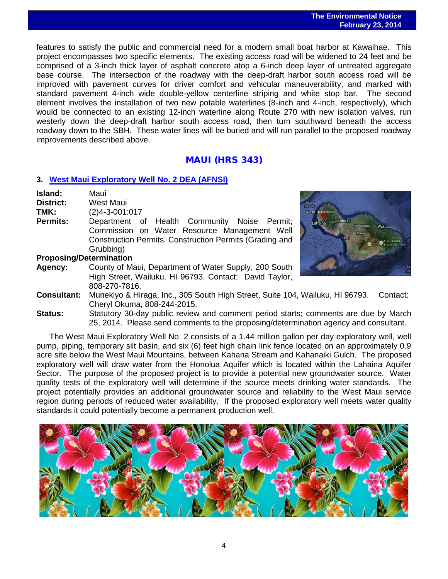features to satisfy the public and commercial need for a modern small boat harbor at Kawaihae. This project encompasses two specific elements. The existing access road will be widened to 24 feet and be comprised of a 3-inch thick layer of asphalt concrete atop a 6-inch deep layer of untreated aggregate base course. The intersection of the roadway with the deep-draft harbor south access road will be improved with pavement curves for driver comfort and vehicular maneuverability, and marked with standard pavement 4-inch wide double-yellow centerline striping and white stop bar. The second element involves the installation of two new potable waterlines (8-inch and 4-inch, respectively), which would be connected to an existing 12-inch waterline along Route 270 with new isolation valves, run westerly down the deep-draft harbor south access road, then turn southward beneath the access roadway down to the SBH. These water lines will be buried and will run parallel to the proposed roadway improvements described above.

## MAUI (HRS 343)

## **3. [West Maui Exploratory Well No. 2](http://oeqc.doh.hawaii.gov/Shared%20Documents/EA_and_EIS_Online_Library/Maui/2010s/2014-02-23-MA-5B-DEA-West-Maui-Exploratory-Well-No.-2.pdf) DEA (AFNSI)**

**Island:** Maui **District:** West Maui **TMK:** (2)4-3-001:017<br>**Permits:** Department of

Department of Health Community Noise Permit; Commission on Water Resource Management Well Construction Permits, Construction Permits (Grading and Grubbing)



## **Proposing/Determination**

- **Agency:** County of Maui, Department of Water Supply, 200 South High Street, Wailuku, HI 96793. Contact: David Taylor, 808-270-7816.
- **Consultant:** Munekiyo & Hiraga, Inc., 305 South High Street, Suite 104, Wailuku, HI 96793. Contact: Cheryl Okuma, 808-244-2015.
- **Status:** Statutory 30-day public review and comment period starts; comments are due by March 25, 2014. Please send comments to the proposing/determination agency and consultant.

The West Maui Exploratory Well No. 2 consists of a 1.44 million gallon per day exploratory well, well pump, piping, temporary silt basin, and six (6) feet high chain link fence located on an approximately 0.9 acre site below the West Maui Mountains, between Kahana Stream and Kahanaiki Gulch. The proposed exploratory well will draw water from the Honolua Aquifer which is located within the Lahaina Aquifer Sector. The purpose of the proposed project is to provide a potential new groundwater source. Water quality tests of the exploratory well will determine if the source meets drinking water standards. The project potentially provides an additional groundwater source and reliability to the West Maui service region during periods of reduced water availability. If the proposed exploratory well meets water quality standards it could potentially become a permanent production well.

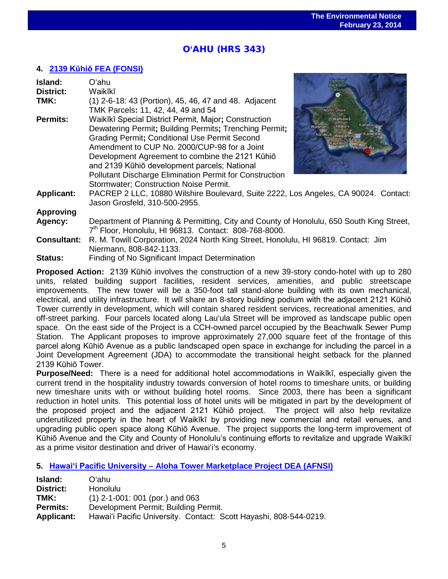# O**'**AHU (HRS 343)

## **4. 2139 Kūhiō [FEA \(FONSI\)](http://oeqc.doh.hawaii.gov/Shared%20Documents/EA_and_EIS_Online_Library/Oahu/2010s/2014-02-23-OA-5E-FEA-2139-Kuhio.pdf)**

| Island:            | Oʻahu                                                                                                                                                                                                                                                                                                                                                                                                                          |              |
|--------------------|--------------------------------------------------------------------------------------------------------------------------------------------------------------------------------------------------------------------------------------------------------------------------------------------------------------------------------------------------------------------------------------------------------------------------------|--------------|
| <b>District:</b>   | Waikīkī                                                                                                                                                                                                                                                                                                                                                                                                                        |              |
| TMK:               | (1) 2-6-18: 43 (Portion), 45, 46, 47 and 48. Adjacent<br>TMK Parcels: 11, 42, 44, 49 and 54                                                                                                                                                                                                                                                                                                                                    | North Shore  |
| <b>Permits:</b>    | Waikīkī Special District Permit, Major; Construction<br>Dewatering Permit; Building Permits; Trenching Permit;<br>Grading Permit; Conditional Use Permit Second<br>Amendment to CUP No. 2000/CUP-98 for a Joint<br>Development Agreement to combine the 2121 Kūhiō<br>and 2139 Kūhiō development parcels; National<br><b>Pollutant Discharge Elimination Permit for Construction</b><br>Stormwater; Construction Noise Permit. | skuli Wagahu |
| <b>Applicant:</b>  | PACREP 2 LLC, 10880 Wilshire Boulevard, Suite 2222, Los Angeles, CA 90024. Contact:<br>Jason Grosfeld, 310-500-2955.                                                                                                                                                                                                                                                                                                           |              |
| <b>Approving</b>   |                                                                                                                                                                                                                                                                                                                                                                                                                                |              |
| Agency:            | Department of Planning & Permitting, City and County of Honolulu, 650 South King Street,<br>7 <sup>th</sup> Floor, Honolulu, HI 96813. Contact: 808-768-8000.                                                                                                                                                                                                                                                                  |              |
| <b>Consultant:</b> | R. M. Towill Corporation, 2024 North King Street, Honolulu, HI 96819. Contact: Jim<br>Niermann, 808-842-1133.                                                                                                                                                                                                                                                                                                                  |              |
| Status:            | Finding of No Significant Impact Determination                                                                                                                                                                                                                                                                                                                                                                                 |              |

**Proposed Action:** 2139 Kūhiō involves the construction of a new 39-story condo-hotel with up to 280 units, related building support facilities, resident services, amenities, and public streetscape improvements. The new tower will be a 350-foot tall stand-alone building with its own mechanical, electrical, and utility infrastructure. It will share an 8-story building podium with the adjacent 2121 Kūhiō Tower currently in development, which will contain shared resident services, recreational amenities, and off-street parking. Four parcels located along Lau'ula Street will be improved as landscape public open space. On the east side of the Project is a CCH-owned parcel occupied by the Beachwalk Sewer Pump Station. The Applicant proposes to improve approximately 27,000 square feet of the frontage of this parcel along Kūhiō Avenue as a public landscaped open space in exchange for including the parcel in a Joint Development Agreement (JDA) to accommodate the transitional height setback for the planned 2139 Kūhiō Tower.

**Purpose/Need:** There is a need for additional hotel accommodations in Waikīkī, especially given the current trend in the hospitality industry towards conversion of hotel rooms to timeshare units, or building new timeshare units with or without building hotel rooms. Since 2003, there has been a significant reduction in hotel units. This potential loss of hotel units will be mitigated in part by the development of the proposed project and the adjacent 2121 Kūhiō project. The project will also help revitalize underutilized property in the heart of Waikīkī by providing new commercial and retail venues, and upgrading public open space along Kūhiō Avenue. The project supports the long-term improvement of Kūhiō Avenue and the City and County of Honolulu's continuing efforts to revitalize and upgrade Waikīkī as a prime visitor destination and driver of Hawai'i's economy.

## **5. Hawaiʻi Pacific University – [Aloha Tower Marketplace Project](http://oeqc.doh.hawaii.gov/Shared%20Documents/EA_and_EIS_Online_Library/Oahu/2010s/2014-02-23-OA-5E-DEA-Hawaii-Pacific-University-Aloha-Tower-Marketplace-Project.pdf) DEA (AFNSI)**

| Island:           | Oʻahu                                                             |  |  |
|-------------------|-------------------------------------------------------------------|--|--|
| District:         | Honolulu                                                          |  |  |
| TMK:              | $(1)$ 2-1-001: 001 (por.) and 063                                 |  |  |
| <b>Permits:</b>   | Development Permit; Building Permit.                              |  |  |
| <b>Applicant:</b> | Hawai'i Pacific University. Contact: Scott Hayashi, 808-544-0219. |  |  |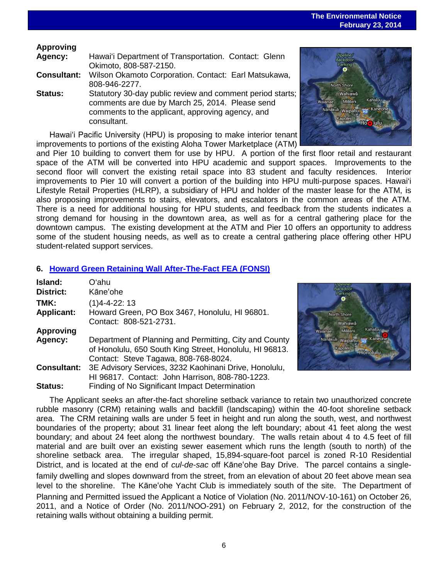## **The Environmental Notice February 23, 2014**

## **Approving**

| <b>Agency:</b> | Hawai'i Department of Transportation. Contact: Glenn |  |
|----------------|------------------------------------------------------|--|
|                | Okimoto, 808-587-2150.                               |  |

- **Consultant:** Wilson Okamoto Corporation. Contact: Earl Matsukawa, 808-946-2277.
- **Status:** Statutory 30-day public review and comment period starts; comments are due by March 25, 2014. Please send comments to the applicant, approving agency, and consultant.

Hawaiʻi Pacific University (HPU) is proposing to make interior tenant improvements to portions of the existing Aloha Tower Marketplace (ATM)

and Pier 10 building to convert them for use by HPU. A portion of the first floor retail and restaurant space of the ATM will be converted into HPU academic and support spaces. Improvements to the second floor will convert the existing retail space into 83 student and faculty residences. Interior improvements to Pier 10 will convert a portion of the building into HPU multi-purpose spaces. Hawai'i Lifestyle Retail Properties (HLRP), a subsidiary of HPU and holder of the master lease for the ATM, is also proposing improvements to stairs, elevators, and escalators in the common areas of the ATM. There is a need for additional housing for HPU students, and feedback from the students indicates a strong demand for housing in the downtown area, as well as for a central gathering place for the downtown campus. The existing development at the ATM and Pier 10 offers an opportunity to address some of the student housing needs, as well as to create a central gathering place offering other HPU student-related support services.

## **6. [Howard Green Retaining Wall](http://oeqc.doh.hawaii.gov/Shared%20Documents/EA_and_EIS_Online_Library/Oahu/2010s/2014-02-23-OA-5E-FEA-Howard-Green-Retaining-Wall-After-The-Fact.pdf) After-The-Fact FEA (FONSI)**

| Island:<br><b>District:</b>                                                                     | Oʻahu<br>Kāne'ohe                                                                                        |
|-------------------------------------------------------------------------------------------------|----------------------------------------------------------------------------------------------------------|
| TMK:<br><b>Applicant:</b>                                                                       | $(1)4 - 4 - 22$ : 13<br>Howard Green, PO Box 3467, Honolulu, HI 96801.<br>Contact: 808-521-2731.         |
| <b>Approving</b><br>Agency:                                                                     | Department of Planning and Permitting, City and County                                                   |
| of Honolulu, 650 South King Street, Honolulu, HI 96813.<br>Contact: Steve Tagawa, 808-768-8024. |                                                                                                          |
| <b>Consultant:</b>                                                                              | 3E Advisory Services, 3232 Kaohinani Drive, Honolulu,<br>HI 96817. Contact: John Harrison, 808-780-1223. |
| Status:                                                                                         | Finding of No Significant Impact Determination                                                           |

The Applicant seeks an after-the-fact shoreline setback variance to retain two unauthorized concrete rubble masonry (CRM) retaining walls and backfill (landscaping) within the 40-foot shoreline setback area. The CRM retaining walls are under 5 feet in height and run along the south, west, and northwest boundaries of the property; about 31 linear feet along the left boundary; about 41 feet along the west boundary; and about 24 feet along the northwest boundary. The walls retain about 4 to 4.5 feet of fill material and are built over an existing sewer easement which runs the length (south to north) of the shoreline setback area. The irregular shaped, 15,894-square-foot parcel is zoned R-10 Residential District, and is located at the end of *cul-de-sac* off Kāne'ohe Bay Drive. The parcel contains a singlefamily dwelling and slopes downward from the street, from an elevation of about 20 feet above mean sea level to the shoreline. The Kāne'ohe Yacht Club is immediately south of the site. The Department of Planning and Permitted issued the Applicant a Notice of Violation (No. 2011/NOV-10-161) on October 26, 2011, and a Notice of Order (No. 2011/NOO-291) on February 2, 2012, for the construction of the retaining walls without obtaining a building permit.



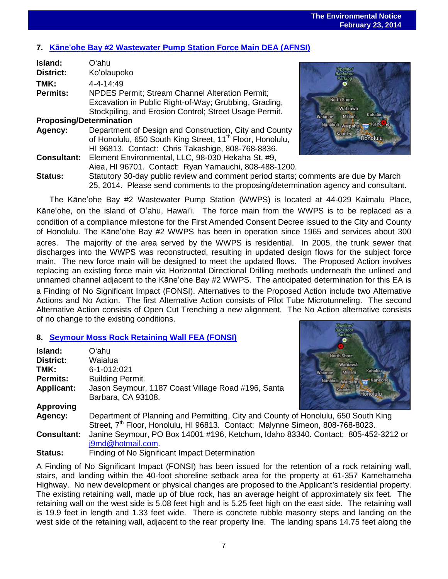# **7. Kāne**'**[ohe Bay #2 Wastewater Pump Station Force Main DEA \(AFNSI\)](http://oeqc.doh.hawaii.gov/Shared%20Documents/EA_and_EIS_Online_Library/Oahu/2010s/2014-02-23-OA-5B-DEA-Kaneohe-Bay-Number-2-Wastewater-Pump-Station-Force-Main.pdf)**

| Island:                        | Oʻahu                                                                                |                                           |
|--------------------------------|--------------------------------------------------------------------------------------|-------------------------------------------|
| <b>District:</b>               | Ko'olaupoko                                                                          |                                           |
| TMK:                           | $4 - 4 - 14.49$                                                                      |                                           |
| Permits:                       | <b>NPDES Permit: Stream Channel Alteration Permit:</b>                               |                                           |
|                                | Excavation in Public Right-of-Way; Grubbing, Grading,                                | <b>North Shore</b>                        |
|                                | Stockpiling, and Erosion Control; Street Usage Permit.                               | Wahiawā<br>Kahaluu<br>Mililani<br>Waianae |
| <b>Proposing/Determination</b> |                                                                                      | Nanakuli waipahu na Kane le               |
| Agency:                        | Department of Design and Construction, City and County                               | Kapolei                                   |
|                                | of Honolulu, 650 South King Street, 11 <sup>th</sup> Floor, Honolulu,                | <b>Honolulu</b>                           |
|                                | HI 96813. Contact: Chris Takashige, 808-768-8836.                                    |                                           |
| <b>Consultant:</b>             | Element Environmental, LLC, 98-030 Hekaha St, #9,                                    |                                           |
|                                | Aiea, HI 96701. Contact: Ryan Yamauchi, 808-488-1200.                                |                                           |
| <b>Status:</b>                 | Statutory 30-day public review and comment period starts; comments are due by March  |                                           |
|                                | 25, 2014. Please send comments to the proposing/determination agency and consultant. |                                           |



The Kāne'ohe Bay #2 Wastewater Pump Station (WWPS) is located at 44-029 Kaimalu Place, Kāne'ohe, on the island of O'ahu, Hawai'i. The force main from the WWPS is to be replaced as a condition of a compliance milestone for the First Amended Consent Decree issued to the City and County of Honolulu. The Kāne'ohe Bay #2 WWPS has been in operation since 1965 and services about 300 acres. The majority of the area served by the WWPS is residential. In 2005, the trunk sewer that discharges into the WWPS was reconstructed, resulting in updated design flows for the subject force main. The new force main will be designed to meet the updated flows. The Proposed Action involves replacing an existing force main via Horizontal Directional Drilling methods underneath the unlined and unnamed channel adjacent to the Kāne'ohe Bay #2 WWPS. The anticipated determination for this EA is a Finding of No Significant Impact (FONSI). Alternatives to the Proposed Action include two Alternative Actions and No Action. The first Alternative Action consists of Pilot Tube Microtunneling. The second Alternative Action consists of Open Cut Trenching a new alignment. The No Action alternative consists of no change to the existing conditions.

## **8. [Seymour Moss Rock Retaining Wall](http://oeqc.doh.hawaii.gov/Shared%20Documents/EA_and_EIS_Online_Library/Oahu/2010s/2014-02-23-OA-5E-FEA-Seymour-Moss-Rock-Retaining-Wall.pdf) FEA (FONSI)**

| <b>Island:</b><br><b>District:</b> | Oʻahu.<br>Waialua                                                                                              | <b>North Shore</b><br>Wahiawā          |
|------------------------------------|----------------------------------------------------------------------------------------------------------------|----------------------------------------|
| TMK:                               | 6-1-012:021                                                                                                    | <b>Kahaluu</b><br>Mililani<br>Watanael |
| <b>Permits:</b>                    | <b>Building Permit.</b>                                                                                        | Nanakuli waipahu Ha Kaneol             |
| <b>Applicant:</b>                  | Jason Seymour, 1187 Coast Village Road #196, Santa                                                             | Kapoler<br>-Honolulu                   |
|                                    | Barbara, CA 93108.                                                                                             |                                        |
| <b>Approving</b>                   |                                                                                                                |                                        |
| Agency:                            | Department of Planning and Permitting, City and County of Honolulu, 650 South King                             |                                        |
|                                    | Street, 7 <sup>th</sup> Floor, Honolulu, HI 96813. Contact: Malynne Simeon, 808-768-8023.                      |                                        |
| <b>Consultant:</b>                 | Janine Seymour, PO Box 14001 #196, Ketchum, Idaho 83340. Contact: 805-452-3212 or                              |                                        |
|                                    | j9md@hotmail.com.                                                                                              |                                        |
| $\mathbf{a}$                       | Eta altaren 14 Aliar Ottosa (Aliaren 1a - Larra eta Erresta eta erresta erresta erresta erresta erresta errest |                                        |

**Status:** Finding of No Significant Impact Determination

A Finding of No Significant Impact (FONSI) has been issued for the retention of a rock retaining wall, stairs, and landing within the 40-foot shoreline setback area for the property at 61-357 Kamehameha Highway. No new development or physical changes are proposed to the Applicant's residential property. The existing retaining wall, made up of blue rock, has an average height of approximately six feet. The retaining wall on the west side is 5.08 feet high and is 5.25 feet high on the east side. The retaining wall is 19.9 feet in length and 1.33 feet wide. There is concrete rubble masonry steps and landing on the west side of the retaining wall, adjacent to the rear property line. The landing spans 14.75 feet along the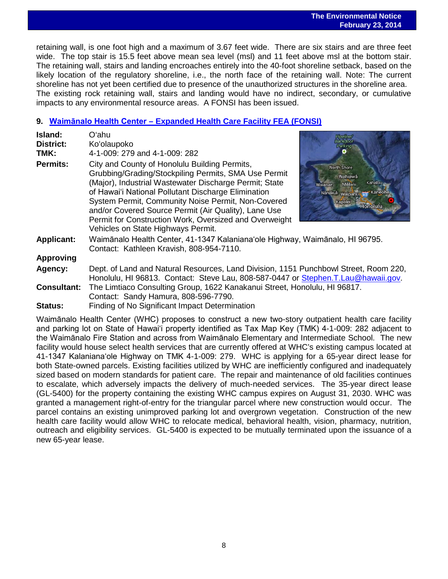## **The Environmental Notice February 23, 2014**

 retaining wall, is one foot high and a maximum of 3.67 feet wide. There are six stairs and are three feet wide. The top stair is 15.5 feet above mean sea level (msl) and 11 feet above msl at the bottom stair. The retaining wall, stairs and landing encroaches entirely into the 40-foot shoreline setback, based on the likely location of the regulatory shoreline, i.e., the north face of the retaining wall. Note: The current shoreline has not yet been certified due to presence of the unauthorized structures in the shoreline area. The existing rock retaining wall, stairs and landing would have no indirect, secondary, or cumulative impacts to any environmental resource areas. A FONSI has been issued.

## **9. Waimānalo Health Center – [Expanded Health Care Facility](http://oeqc.doh.hawaii.gov/Shared%20Documents/EA_and_EIS_Online_Library/Oahu/2010s/2014-02-23-OA-5E-FEA-Waimanalo-Health-Center-Expanded-Health-Care-Facility.pdf) FEA (FONSI)**

| Island:            | Oʻahu                                                                                                                                                                                                                                                                                                                                                                                                                                |                                                                                                                              |
|--------------------|--------------------------------------------------------------------------------------------------------------------------------------------------------------------------------------------------------------------------------------------------------------------------------------------------------------------------------------------------------------------------------------------------------------------------------------|------------------------------------------------------------------------------------------------------------------------------|
| District:          | Ko'olaupoko                                                                                                                                                                                                                                                                                                                                                                                                                          |                                                                                                                              |
| TMK:               | 4-1-009: 279 and 4-1-009: 282                                                                                                                                                                                                                                                                                                                                                                                                        |                                                                                                                              |
| <b>Permits:</b>    | City and County of Honolulu Building Permits,<br>Grubbing/Grading/Stockpiling Permits, SMA Use Permit<br>(Major), Industrial Wastewater Discharge Permit; State<br>of Hawai'i National Pollutant Discharge Elimination<br>System Permit, Community Noise Permit, Non-Covered<br>and/or Covered Source Permit (Air Quality), Lane Use<br>Permit for Construction Work, Oversized and Overweight<br>Vehicles on State Highways Permit. | <b>North Shore</b><br>Wahiawā<br>Kahaluu<br>Mililani<br>Wajanae<br>Nanakuli waipahu 13 Kaneohe<br>Kapolei<br><b>Honolulu</b> |
| <b>Applicant:</b>  | Waimānalo Health Center, 41-1347 Kalaniana'ole Highway, Waimānalo, HI 96795.<br>Contact: Kathleen Kravish, 808-954-7110.                                                                                                                                                                                                                                                                                                             |                                                                                                                              |
| <b>Approving</b>   |                                                                                                                                                                                                                                                                                                                                                                                                                                      |                                                                                                                              |
| Agency:            | Dept. of Land and Natural Resources, Land Division, 1151 Punchbowl Street, Room 220,<br>Honolulu, HI 96813. Contact: Steve Lau, 808-587-0447 or Stephen.T.Lau@hawaii.gov.                                                                                                                                                                                                                                                            |                                                                                                                              |
| <b>Consultant:</b> | The Limtiaco Consulting Group, 1622 Kanakanui Street, Honolulu, HI 96817.<br>Contact: Sandy Hamura, 808-596-7790.                                                                                                                                                                                                                                                                                                                    |                                                                                                                              |
|                    |                                                                                                                                                                                                                                                                                                                                                                                                                                      |                                                                                                                              |

**Status:** Finding of No Significant Impact Determination

Waimānalo Health Center (WHC) proposes to construct a new two-story outpatient health care facility and parking lot on State of Hawaiʻi property identified as Tax Map Key (TMK) 4-1-009: 282 adjacent to the Waimānalo Fire Station and across from Waimānalo Elementary and Intermediate School. The new facility would house select health services that are currently offered at WHC's existing campus located at 41-1347 Kalanianaʻole Highway on TMK 4-1-009: 279. WHC is applying for a 65-year direct lease for both State-owned parcels. Existing facilities utilized by WHC are inefficiently configured and inadequately sized based on modern standards for patient care. The repair and maintenance of old facilities continues to escalate, which adversely impacts the delivery of much-needed services. The 35-year direct lease (GL-5400) for the property containing the existing WHC campus expires on August 31, 2030. WHC was granted a management right-of-entry for the triangular parcel where new construction would occur. The parcel contains an existing unimproved parking lot and overgrown vegetation. Construction of the new health care facility would allow WHC to relocate medical, behavioral health, vision, pharmacy, nutrition, outreach and eligibility services. GL-5400 is expected to be mutually terminated upon the issuance of a new 65-year lease.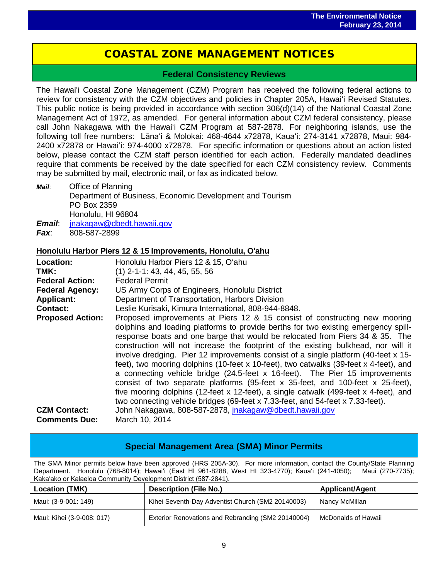# COASTAL ZONE MANAGEMENT NOTICES

i<br>I

## **Federal Consistency Reviews**

The Hawaiʻi Coastal Zone Management (CZM) Program has received the following federal actions to review for consistency with the CZM objectives and policies in Chapter 205A, Hawaiʻi Revised Statutes. This public notice is being provided in accordance with section 306(d)(14) of the National Coastal Zone Management Act of 1972, as amended. For general information about CZM federal consistency, please call John Nakagawa with the Hawaiʻi CZM Program at 587-2878. For neighboring islands, use the following toll free numbers: Lānaʻi & Molokai: 468-4644 x72878, Kauaʻi: 274-3141 x72878, Maui: 984- 2400 x72878 or Hawaiʻi: 974-4000 x72878. For specific information or questions about an action listed below, please contact the CZM staff person identified for each action. Federally mandated deadlines require that comments be received by the date specified for each CZM consistency review. Comments may be submitted by mail, electronic mail, or fax as indicated below.

*Mail*: Office of Planning Department of Business, Economic Development and Tourism PO Box 2359 Honolulu, HI 96804 *Email*: [jnakagaw@dbedt.hawaii.gov](mailto:jnakagaw@dbedt.hawaii.gov) *Fax*: 808-587-2899

## **Honolulu Harbor Piers 12 & 15 Improvements, Honolulu, O'ahu**

| <b>Location:</b><br>TMK:<br><b>Federal Action:</b><br><b>Federal Agency:</b> | Honolulu Harbor Piers 12 & 15, O'ahu<br>$(1)$ 2-1-1: 43, 44, 45, 55, 56<br><b>Federal Permit</b><br>US Army Corps of Engineers, Honolulu District                                                                                                                                                                                                                                                                                                                                                                                                                                                                                                                                                                                                                                                                                                                    |
|------------------------------------------------------------------------------|----------------------------------------------------------------------------------------------------------------------------------------------------------------------------------------------------------------------------------------------------------------------------------------------------------------------------------------------------------------------------------------------------------------------------------------------------------------------------------------------------------------------------------------------------------------------------------------------------------------------------------------------------------------------------------------------------------------------------------------------------------------------------------------------------------------------------------------------------------------------|
| <b>Applicant:</b>                                                            | Department of Transportation, Harbors Division                                                                                                                                                                                                                                                                                                                                                                                                                                                                                                                                                                                                                                                                                                                                                                                                                       |
| <b>Contact:</b>                                                              | Leslie Kurisaki, Kimura International, 808-944-8848.                                                                                                                                                                                                                                                                                                                                                                                                                                                                                                                                                                                                                                                                                                                                                                                                                 |
| <b>Proposed Action:</b>                                                      | Proposed improvements at Piers 12 & 15 consist of constructing new mooring<br>dolphins and loading platforms to provide berths for two existing emergency spill-<br>response boats and one barge that would be relocated from Piers 34 & 35. The<br>construction will not increase the footprint of the existing bulkhead, nor will it<br>involve dredging. Pier 12 improvements consist of a single platform (40-feet x 15-<br>feet), two mooring dolphins (10-feet x 10-feet), two catwalks (39-feet x 4-feet), and<br>a connecting vehicle bridge (24.5-feet x 16-feet). The Pier 15 improvements<br>consist of two separate platforms (95-feet $x$ 35-feet, and 100-feet $x$ 25-feet),<br>five mooring dolphins (12-feet x 12-feet), a single catwalk (499-feet x 4-feet), and<br>two connecting vehicle bridges (69-feet x 7.33-feet, and 54-feet x 7.33-feet). |
| <b>CZM Contact:</b>                                                          | John Nakagawa, 808-587-2878, jnakagaw@dbedt.hawaii.gov                                                                                                                                                                                                                                                                                                                                                                                                                                                                                                                                                                                                                                                                                                                                                                                                               |
| <b>Comments Due:</b>                                                         | March 10, 2014                                                                                                                                                                                                                                                                                                                                                                                                                                                                                                                                                                                                                                                                                                                                                                                                                                                       |

| <b>Special Management Area (SMA) Minor Permits</b>                                                                                                                                                                                                                                                             |                                                    |                        |  |
|----------------------------------------------------------------------------------------------------------------------------------------------------------------------------------------------------------------------------------------------------------------------------------------------------------------|----------------------------------------------------|------------------------|--|
| The SMA Minor permits below have been approved (HRS 205A-30). For more information, contact the County/State Planning<br>Department. Honolulu (768-8014); Hawai'i (East HI 961-8288, West HI 323-4770); Kaua'i (241-4050); Maui (270-7735);<br>Kaka'ako or Kalaeloa Community Development District (587-2841). |                                                    |                        |  |
| <b>Location (TMK)</b>                                                                                                                                                                                                                                                                                          | <b>Description (File No.)</b>                      | <b>Applicant/Agent</b> |  |
| Maui: (3-9-001: 149)                                                                                                                                                                                                                                                                                           | Kihei Seventh-Day Adventist Church (SM2 20140003)  | Nancy McMillan         |  |
| Maui: Kihei (3-9-008: 017)                                                                                                                                                                                                                                                                                     | Exterior Renovations and Rebranding (SM2 20140004) | McDonalds of Hawaii    |  |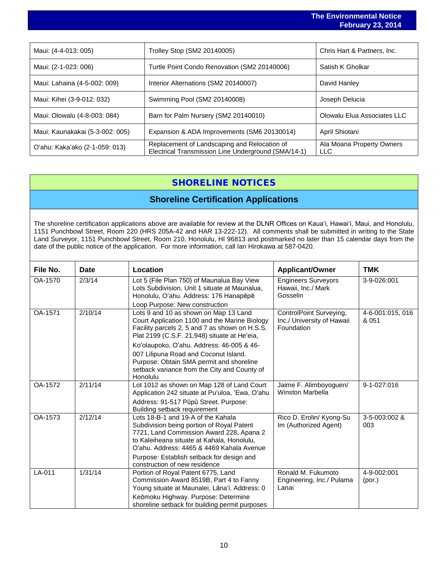|                                 |                                              | <b>The Environmental Notice</b><br><b>February 23, 2014</b> |
|---------------------------------|----------------------------------------------|-------------------------------------------------------------|
|                                 |                                              |                                                             |
| Maui: (4-4-013: 005)            | Trolley Stop (SM2 20140005)                  | Chris Hart & Partners, Inc.                                 |
| Maui: (2-1-023: 006)            | Turtle Point Condo Renovation (SM2 20140006) | Satish K Gholkar                                            |
| Maui: Lahaina (4-5-002: 009)    | Interior Alternations (SM2 20140007)         | David Hanley                                                |
| Maui: Kihei (3-9-012: 032)      | Swimming Pool (SM2 20140008)                 | Joseph Delucia                                              |
| Maui: Olowalu (4-8-003: 084)    | Barn for Palm Nursery (SM2 20140010)         | Olowalu Elua Associates LLC                                 |
| Maui: Kaunakakai (5-3-002: 005) | Expansion & ADA Improvements (SM6 20130014)  | April Shiotani                                              |

## SHORELINE NOTICES

Electrical Transmission Line Underground (SMA/14-1)

Ala Moana Property Owners

LLC

O'ahu: Kaka'ako (2-1-059: 013) Replacement of Landscaping and Relocation of

## **Shoreline Certification Applications**

The shoreline certification applications above are available for review at the DLNR Offices on Kauaʻi, Hawaiʻi, Maui, and Honolulu, 1151 Punchbowl Street, Room 220 (HRS 205A-42 and HAR 13-222-12). All comments shall be submitted in writing to the State Land Surveyor, 1151 Punchbowl Street, Room 210, Honolulu, HI 96813 and postmarked no later than 15 calendar days from the date of the public notice of the application. For more information, call Ian Hirokawa at 587-0420.

| File No. | <b>Date</b> | Location                                                                                                                                                                                                                                                                                                                                                                               | <b>Applicant/Owner</b>                                              | TMK                       |
|----------|-------------|----------------------------------------------------------------------------------------------------------------------------------------------------------------------------------------------------------------------------------------------------------------------------------------------------------------------------------------------------------------------------------------|---------------------------------------------------------------------|---------------------------|
| OA-1570  | 2/3/14      | Lot 5 (File Plan 750) of Maunalua Bay View<br>Lots Subdivision, Unit 1 situate at Maunalua,<br>Honolulu, O'ahu. Address: 176 Hanapēpē<br>Loop Purpose: New construction                                                                                                                                                                                                                | <b>Engineers Surveyors</b><br>Hawaii, Inc./ Mark<br>Gosselin        | 3-9-026:001               |
| OA-1571  | 2/10/14     | Lots 9 and 10 as shown on Map 13 Land<br>Court Application 1100 and the Marine Biology<br>Facility parcels 2, 5 and 7 as shown on H.S.S.<br>Plat 2199 (C.S.F. 21,948) situate at He'eia,<br>Koʻolaupoko, Oʻahu. Address: 46-005 & 46-<br>007 Lilipuna Road and Coconut Island.<br>Purpose: Obtain SMA permit and shoreline<br>setback variance from the City and County of<br>Honolulu | ControlPoint Surveying,<br>Inc./ University of Hawaii<br>Foundation | 4-6-001:015, 016<br>& 051 |
| OA-1572  | 2/11/14     | Lot 1012 as shown on Map 128 of Land Court<br>Application 242 situate at Pu'uloa, 'Ewa, O'ahu<br>Address: 91-517 Pūpū Street. Purpose:<br>Building setback requirement                                                                                                                                                                                                                 | Jaime F. Alimboyoguen/<br><b>Winston Marbella</b>                   | 9-1-027:016               |
| OA-1573  | 2/12/14     | Lots 18-B-1 and 19-A of the Kahala<br>Subdivision being portion of Royal Patent<br>7721, Land Commission Award 228, Apana 2<br>to Kaleiheana situate at Kahala, Honolulu,<br>O'ahu. Address: 4465 & 4469 Kahala Avenue<br>Purpose: Establish setback for design and<br>construction of new residence                                                                                   | Rico D. Erolin/ Kyong-Su<br>Im (Authorized Agent)                   | 3-5-003:002 &<br>003      |
| $LA-011$ | 1/31/14     | Portion of Royal Patent 6775, Land<br>Commission Award 8519B, Part 4 to Fanny<br>Young situate at Maunalei, Lāna'i. Address: 0<br>Keōmoku Highway. Purpose: Determine<br>shoreline setback for building permit purposes                                                                                                                                                                | Ronald M. Fukumoto<br>Engineering, Inc./ Pulama<br>Lanai            | 4-9-002:001<br>(por.)     |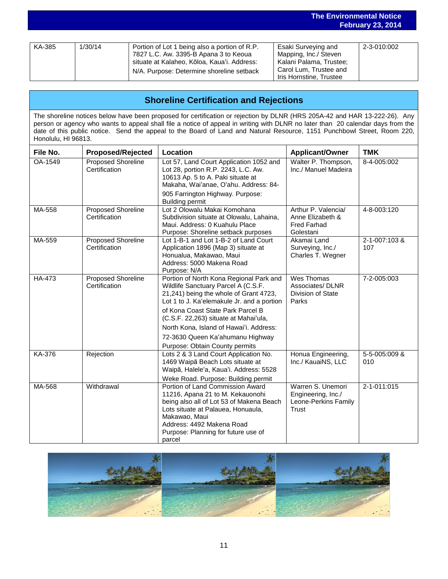|        |         |                                                                                                                                                                                    | <b>February 23, 2014</b>                                                                                                     |             |  |
|--------|---------|------------------------------------------------------------------------------------------------------------------------------------------------------------------------------------|------------------------------------------------------------------------------------------------------------------------------|-------------|--|
|        |         |                                                                                                                                                                                    |                                                                                                                              |             |  |
| KA-385 | 1/30/14 | Portion of Lot 1 being also a portion of R.P.<br>7827 L.C. Aw. 3395-B Apana 3 to Keoua<br>situate at Kalaheo, Kōloa, Kaua'i. Address:<br>N/A. Purpose: Determine shoreline setback | Esaki Surveying and<br>Mapping, Inc./ Steven<br>Kalani Palama, Trustee;<br>Carol Lum, Trustee and<br>Iris Hornstine, Trustee | 2-3-010:002 |  |

**The Environmental Notice**

## **Shoreline Certification and Rejections**

The shoreline notices below have been proposed for certification or rejection by DLNR (HRS 205A-42 and HAR 13-222-26). Any person or agency who wants to appeal shall file a notice of appeal in writing with DLNR no later than 20 calendar days from the date of this public notice. Send the appeal to the Board of Land and Natural Resource, 1151 Punchbowl Street, Room 220, Honolulu, HI 96813.

| File No. | <b>Proposed/Rejected</b>                   | Location                                                                                                                                                                                                                                                                                                                            | <b>Applicant/Owner</b>                                                     | <b>TMK</b>           |
|----------|--------------------------------------------|-------------------------------------------------------------------------------------------------------------------------------------------------------------------------------------------------------------------------------------------------------------------------------------------------------------------------------------|----------------------------------------------------------------------------|----------------------|
| OA-1549  | <b>Proposed Shoreline</b><br>Certification | Lot 57, Land Court Application 1052 and<br>Lot 28, portion R.P. 2243, L.C. Aw.<br>10613 Ap. 5 to A. Paki situate at<br>Makaha, Wai'anae, O'ahu. Address: 84-<br>905 Farrington Highway. Purpose:<br><b>Building permit</b>                                                                                                          | Walter P. Thompson,<br>Inc./ Manuel Madeira                                | 8-4-005:002          |
| MA-558   | <b>Proposed Shoreline</b><br>Certification | Lot 2 Olowalu Makai Komohana<br>Subdivision situate at Olowalu, Lahaina,<br>Maui, Address: 0 Kuahulu Place<br>Purpose: Shoreline setback purposes                                                                                                                                                                                   | Arthur P. Valencia/<br>Anne Elizabeth &<br><b>Fred Farhad</b><br>Golestani | 4-8-003:120          |
| MA-559   | <b>Proposed Shoreline</b><br>Certification | Lot 1-B-1 and Lot 1-B-2 of Land Court<br>Application 1896 (Map 3) situate at<br>Honualua, Makawao, Maui<br>Address: 5000 Makena Road<br>Purpose: N/A                                                                                                                                                                                | Akamai Land<br>Surveying, Inc./<br>Charles T. Wegner                       | 2-1-007:103 &<br>107 |
| HA-473   | <b>Proposed Shoreline</b><br>Certification | Portion of North Kona Regional Park and<br>Wildlife Sanctuary Parcel A (C.S.F.<br>21,241) being the whole of Grant 4723,<br>Lot 1 to J. Ka'elemakule Jr. and a portion<br>of Kona Coast State Park Parcel B<br>(C.S.F. 22,263) situate at Mahai'ula,<br>North Kona, Island of Hawai'i. Address:<br>72-3630 Queen Ka'ahumanu Highway | Wes Thomas<br>Associates/DLNR<br>Division of State<br>Parks                | 7-2-005:003          |
| KA-376   | Rejection                                  | Purpose: Obtain County permits<br>Lots 2 & 3 Land Court Application No.<br>1469 Waipā Beach Lots situate at<br>Waipā, Halele'a, Kaua'i. Address: 5528<br>Weke Road. Purpose: Building permit                                                                                                                                        | Honua Engineering,<br>Inc./ KauaiNS, LLC                                   | 5-5-005:009 &<br>010 |
| MA-568   | Withdrawal                                 | Portion of Land Commission Award<br>11216, Apana 21 to M. Kekauonohi<br>being also all of Lot 53 of Makena Beach<br>Lots situate at Palauea, Honuaula,<br>Makawao, Maui<br>Address: 4492 Makena Road<br>Purpose: Planning for future use of<br>parcel                                                                               | Warren S. Unemori<br>Engineering, Inc./<br>Leone-Perkins Family<br>Trust   | 2-1-011:015          |

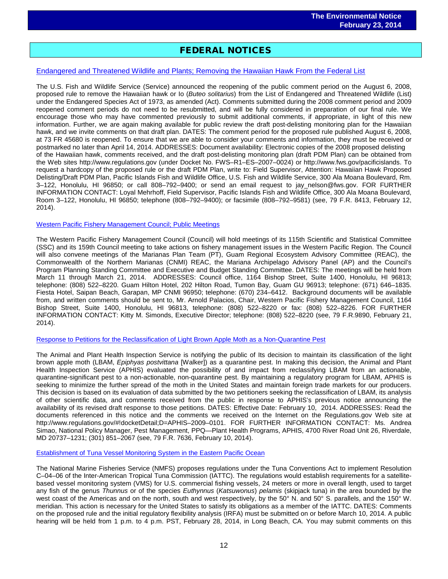## FEDERAL NOTICES

## [Endangered and Threatened Wildlife and Plants; Removing the Hawaiian Hawk From the Federal List](http://www.gpo.gov/fdsys/pkg/FR-2014-02-12/pdf/2014-02982.pdf)

The U.S. Fish and Wildlife Service (Service) announced the reopening of the public comment period on the August 6, 2008, proposed rule to remove the Hawaiian hawk or Io (*Buteo solitarius*) from the List of Endangered and Threatened Wildlife (List) under the Endangered Species Act of 1973, as amended (Act). Comments submitted during the 2008 comment period and 2009 reopened comment periods do not need to be resubmitted, and will be fully considered in preparation of our final rule. We encourage those who may have commented previously to submit additional comments, if appropriate, in light of this new information. Further, we are again making available for public review the draft post-delisting monitoring plan for the Hawaiian hawk, and we invite comments on that draft plan. DATES: The comment period for the proposed rule published August 6, 2008, at 73 FR 45680 is reopened. To ensure that we are able to consider your comments and information, they must be received or postmarked no later than April 14, 2014. ADDRESSES: Document availability: Electronic copies of the 2008 proposed delisting of the Hawaiian hawk, comments received, and the draft post-delisting monitoring plan (draft PDM Plan) can be obtained from the Web sites http://www.regulations.gov (under Docket No. FWS–R1–ES–2007–0024) or http://www.fws.gov/pacificislands. To request a hardcopy of the proposed rule or the draft PDM Plan, write to: Field Supervisor, Attention: Hawaiian Hawk Proposed Delisting/Draft PDM Plan, Pacific Islands Fish and Wildlife Office, U.S. Fish and Wildlife Service, 300 Ala Moana Boulevard, Rm. 3–122, Honolulu, HI 96850; or call 808–792–9400; or send an email request to jay\_nelson@fws.gov. FOR FURTHER INFORMATION CONTACT: Loyal Mehrhoff, Field Supervisor, Pacific Islands Fish and Wildlife Office, 300 Ala Moana Boulevard, Room 3–122, Honolulu, HI 96850; telephone (808–792–9400); or facsimile (808–792–9581) (see, 79 F.R. 8413, February 12, 2014).

#### [Western Pacific Fishery Management Council; Public Meetings](http://www.gpo.gov/fdsys/pkg/FR-2014-02-21/pdf/2014-03723.pdf)

The Western Pacific Fishery Management Council (Council) will hold meetings of its 115th Scientific and Statistical Committee (SSC) and its 159th Council meeting to take actions on fishery management issues in the Western Pacific Region. The Council will also convene meetings of the Marianas Plan Team (PT), Guam Regional Ecosystem Advisory Committee (REAC), the Commonwealth of the Northern Marianas (CNMI) REAC, the Mariana Archipelago Advisory Panel (AP) and the Council's Program Planning Standing Committee and Executive and Budget Standing Committee. DATES: The meetings will be held from March 11 through March 21, 2014. ADDRESSES: Council office, 1164 Bishop Street, Suite 1400, Honolulu, HI 96813; telephone: (808) 522–8220. Guam Hilton Hotel, 202 Hilton Road, Tumon Bay, Guam GU 96913; telephone: (671) 646–1835. Fiesta Hotel, Saipan Beach, Garapan, MP CNMI 96950; telephone: (670) 234–6412. Background documents will be available from, and written comments should be sent to, Mr. Arnold Palacios, Chair, Western Pacific Fishery Management Council, 1164 Bishop Street, Suite 1400, Honolulu, HI 96813, telephone: (808) 522–8220 or fax: (808) 522–8226. FOR FURTHER INFORMATION CONTACT: Kitty M. Simonds, Executive Director; telephone: (808) 522–8220 (see, 79 F.R.9890, February 21, 2014).

#### [Response to Petitions for the Reclassification of Light Brown Apple Moth as a Non-Quarantine Pest](http://www.gpo.gov/fdsys/pkg/FR-2014-02-10/pdf/2014-02764.pdf)

The Animal and Plant Health Inspection Service is notifying the public of Its decision to maintain its classification of the light brown apple moth (LBAM, *Epiphyas postvittana* [Walker]) as a quarantine pest. In making this decision, the Animal and Plant Health Inspection Service (APHIS) evaluated the possibility of and impact from reclassifying LBAM from an actionable, quarantine-significant pest to a non-actionable, non-quarantine pest. By maintaining a regulatory program for LBAM, APHIS is seeking to minimize the further spread of the moth in the United States and maintain foreign trade markets for our producers. This decision is based on its evaluation of data submitted by the two petitioners seeking the reclassification of LBAM, its analysis of other scientific data, and comments received from the public in response to APHIS's previous notice announcing the availability of its revised draft response to those petitions. DATES: Effective Date: February 10, 2014. ADDRESSES: Read the documents referenced in this notice and the comments we received on the Internet on the Regulations.gov Web site at http://www.regulations.gov/#!docketDetail;D=APHIS–2009–0101. FOR FURTHER INFORMATION CONTACT: Ms. Andrea Simao, National Policy Manager, Pest Management, PPQ—Plant Health Programs, APHIS, 4700 River Road Unit 26, Riverdale, MD 20737–1231; (301) 851–2067 (see, 79 F.R. 7636, February 10, 2014).

#### [Establishment of Tuna Vessel Monitoring System in the Eastern Pacific Ocean](http://www.gpo.gov/fdsys/pkg/FR-2014-02-06/pdf/2014-02598.pdf)

The National Marine Fisheries Service (NMFS) proposes regulations under the Tuna Conventions Act to implement Resolution C–04–06 of the Inter-American Tropical Tuna Commission (IATTC). The regulations would establish requirements for a satellitebased vessel monitoring system (VMS) for U.S. commercial fishing vessels, 24 meters or more in overall length, used to target any fish of the genus *Thunnus* or of the species *Euthynnus* (*Katsuwonus*) *pelamis* (skipjack tuna) in the area bounded by the west coast of the Americas and on the north, south and west respectively, by the 50° N. and 50° S. parallels, and the 150° W. meridian. This action is necessary for the United States to satisfy its obligations as a member of the IATTC. DATES: Comments on the proposed rule and the initial regulatory flexibility analysis (IRFA) must be submitted on or before March 10, 2014. A public hearing will be held from 1 p.m. to 4 p.m. PST, February 28, 2014, in Long Beach, CA. You may submit comments on this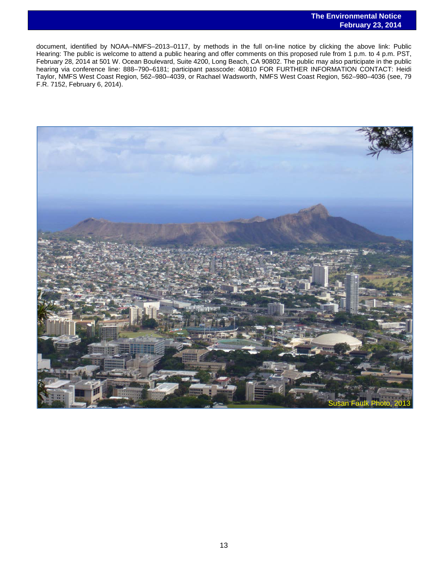document, identified by NOAA–NMFS–2013–0117, by methods in the full on-line notice by clicking the above link: Public Hearing: The public is welcome to attend a public hearing and offer comments on this proposed rule from 1 p.m. to 4 p.m. PST, February 28, 2014 at 501 W. Ocean Boulevard, Suite 4200, Long Beach, CA 90802. The public may also participate in the public hearing via conference line: 888–790–6181; participant passcode: 40810 FOR FURTHER INFORMATION CONTACT: Heidi Taylor, NMFS West Coast Region, 562–980–4039, or Rachael Wadsworth, NMFS West Coast Region, 562–980–4036 (see, 79 F.R. 7152, February 6, 2014).